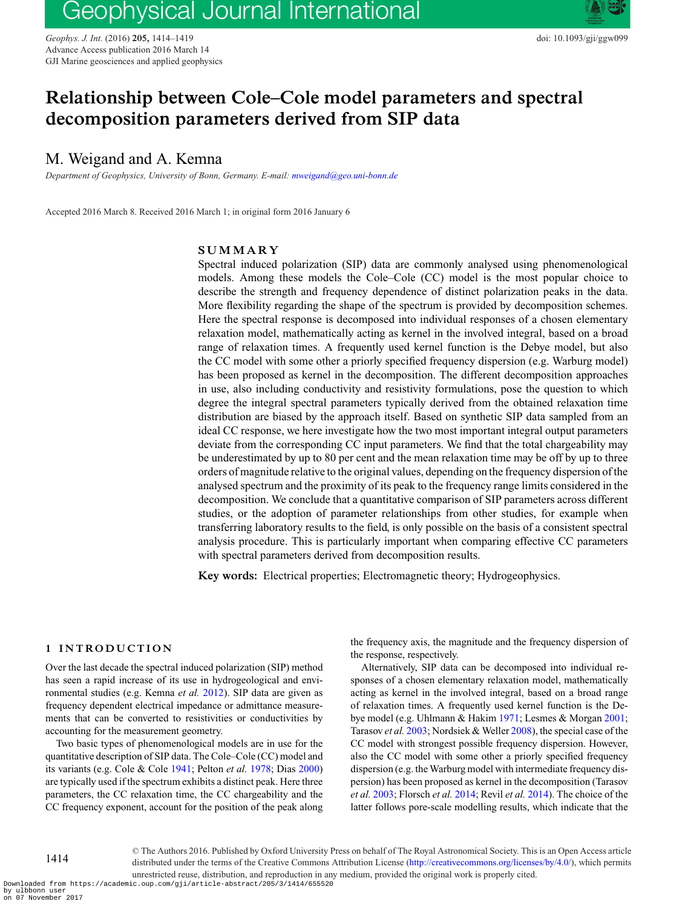*Geophys. J. Int.* (2016) **205,** 1414–1419 doi: 10.1093/gji/ggw099 Advance Access publication 2016 March 14 GJI Marine geosciences and applied geophysics

# **Relationship between Cole–Cole model parameters and spectral decomposition parameters derived from SIP data**

# M. Weigand and A. Kemna

*Department of Geophysics, University of Bonn, Germany. E-mail: [mweigand@geo.uni-bonn.de](mailto:mweigand@geo.uni-bonn.de)*

Accepted 2016 March 8. Received 2016 March 1; in original form 2016 January 6

# **SUMMARY**

Spectral induced polarization (SIP) data are commonly analysed using phenomenological models. Among these models the Cole–Cole (CC) model is the most popular choice to describe the strength and frequency dependence of distinct polarization peaks in the data. More flexibility regarding the shape of the spectrum is provided by decomposition schemes. Here the spectral response is decomposed into individual responses of a chosen elementary relaxation model, mathematically acting as kernel in the involved integral, based on a broad range of relaxation times. A frequently used kernel function is the Debye model, but also the CC model with some other a priorly specified frequency dispersion (e.g. Warburg model) has been proposed as kernel in the decomposition. The different decomposition approaches in use, also including conductivity and resistivity formulations, pose the question to which degree the integral spectral parameters typically derived from the obtained relaxation time distribution are biased by the approach itself. Based on synthetic SIP data sampled from an ideal CC response, we here investigate how the two most important integral output parameters deviate from the corresponding CC input parameters. We find that the total chargeability may be underestimated by up to 80 per cent and the mean relaxation time may be off by up to three orders of magnitude relative to the original values, depending on the frequency dispersion of the analysed spectrum and the proximity of its peak to the frequency range limits considered in the decomposition. We conclude that a quantitative comparison of SIP parameters across different studies, or the adoption of parameter relationships from other studies, for example when transferring laboratory results to the field, is only possible on the basis of a consistent spectral analysis procedure. This is particularly important when comparing effective CC parameters with spectral parameters derived from decomposition results.

**Key words:** Electrical properties; Electromagnetic theory; Hydrogeophysics.

# **1 INTRODUCTION**

Over the last decade the spectral induced polarization (SIP) method has seen a rapid increase of its use in hydrogeological and environmental studies (e.g. Kemna *et al.* [2012\)](#page-5-0). SIP data are given as frequency dependent electrical impedance or admittance measurements that can be converted to resistivities or conductivities by accounting for the measurement geometry.

Two basic types of phenomenological models are in use for the quantitative description of SIP data. The Cole–Cole (CC) model and its variants (e.g. Cole & Cole [1941;](#page-5-1) Pelton *et al.* [1978;](#page-5-2) Dias [2000\)](#page-5-3) are typically used if the spectrum exhibits a distinct peak. Here three parameters, the CC relaxation time, the CC chargeability and the CC frequency exponent, account for the position of the peak along the frequency axis, the magnitude and the frequency dispersion of the response, respectively.

Alternatively, SIP data can be decomposed into individual responses of a chosen elementary relaxation model, mathematically acting as kernel in the involved integral, based on a broad range of relaxation times. A frequently used kernel function is the Debye model (e.g. Uhlmann & Hakim [1971;](#page-5-4) Lesmes & Morgan [2001;](#page-5-5) Tarasov *et al.* [2003;](#page-5-6) Nordsiek & Weller [2008\)](#page-5-7), the special case of the CC model with strongest possible frequency dispersion. However, also the CC model with some other a priorly specified frequency dispersion (e.g. the Warburg model with intermediate frequency dispersion) has been proposed as kernel in the decomposition (Tarasov *et al.* [2003;](#page-5-6) Florsch *et al.* [2014;](#page-5-8) Revil *et al.* [2014\)](#page-5-9). The choice of the latter follows pore-scale modelling results, which indicate that the

-<sup>C</sup> The Authors 2016. Published by Oxford University Press on behalf of The Royal Astronomical Society. This is an Open Access article distributed under the terms of the Creative Commons Attribution License [\(http://creativecommons.org/licenses/by/4.0/\)](http://creativecommons.org/licenses/by/4.0/), which permits unrestricted reuse, distribution, and reproduction in any medium, provided the original work is properly cited.

Downloaded from https://academic.oup.com/gji/article-abstract/205/3/1414/655520

by ulbbonn user on 07 November 2017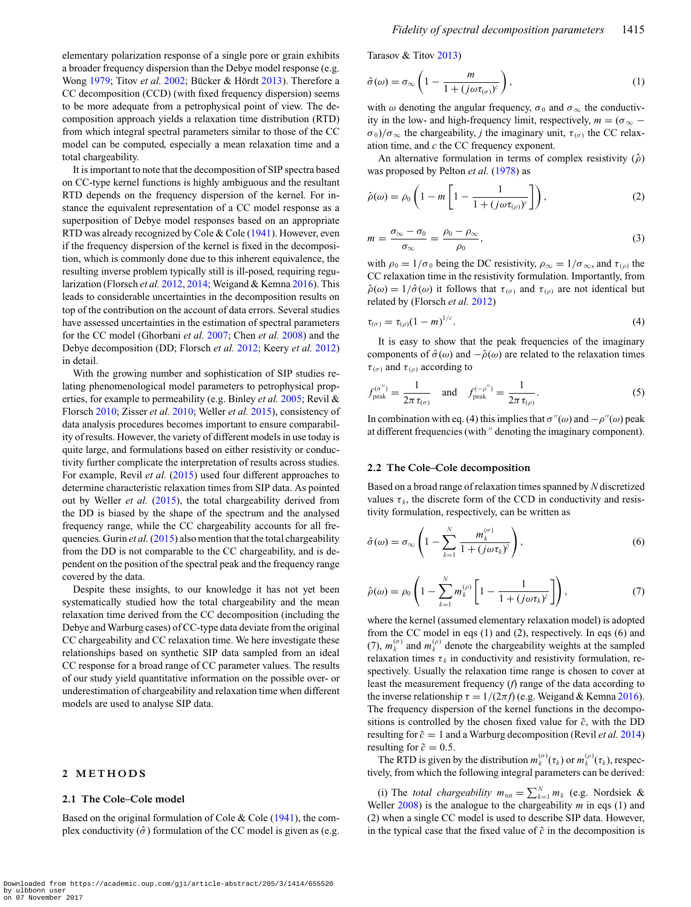elementary polarization response of a single pore or grain exhibits a broader frequency dispersion than the Debye model response (e.g. Wong [1979;](#page-5-10) Titov et al. [2002;](#page-5-11) Bücker & Hördt [2013\)](#page-5-12). Therefore a CC decomposition (CCD) (with fixed frequency dispersion) seems to be more adequate from a petrophysical point of view. The decomposition approach yields a relaxation time distribution (RTD) from which integral spectral parameters similar to those of the CC model can be computed, especially a mean relaxation time and a total chargeability.

It is important to note that the decomposition of SIP spectra based on CC-type kernel functions is highly ambiguous and the resultant RTD depends on the frequency dispersion of the kernel. For instance the equivalent representation of a CC model response as a superposition of Debye model responses based on an appropriate RTD was already recognized by Cole & Cole [\(1941\)](#page-5-1). However, even if the frequency dispersion of the kernel is fixed in the decomposition, which is commonly done due to this inherent equivalence, the resulting inverse problem typically still is ill-posed, requiring regularization (Florsch *et al.* [2012,](#page-5-13) [2014;](#page-5-8) Weigand & Kemna [2016\)](#page-5-14). This leads to considerable uncertainties in the decomposition results on top of the contribution on the account of data errors. Several studies have assessed uncertainties in the estimation of spectral parameters for the CC model (Ghorbani *et al.* [2007;](#page-5-15) Chen *et al.* [2008\)](#page-5-16) and the Debye decomposition (DD; Florsch *et al.* [2012;](#page-5-13) Keery *et al.* [2012\)](#page-5-17) in detail.

With the growing number and sophistication of SIP studies relating phenomenological model parameters to petrophysical properties, for example to permeability (e.g. Binley *et al.* [2005;](#page-5-18) Revil & Florsch [2010;](#page-5-19) Zisser *et al.* [2010;](#page-5-20) Weller *et al.* [2015\)](#page-5-21), consistency of data analysis procedures becomes important to ensure comparability of results. However, the variety of different models in use today is quite large, and formulations based on either resistivity or conductivity further complicate the interpretation of results across studies. For example, Revil *et al.* [\(2015\)](#page-5-22) used four different approaches to determine characteristic relaxation times from SIP data. As pointed out by Weller *et al.* [\(2015\)](#page-5-21), the total chargeability derived from the DD is biased by the shape of the spectrum and the analysed frequency range, while the CC chargeability accounts for all frequencies. Gurin *et al.* [\(2015\)](#page-5-23) also mention that the total chargeability from the DD is not comparable to the CC chargeability, and is dependent on the position of the spectral peak and the frequency range covered by the data.

Despite these insights, to our knowledge it has not yet been systematically studied how the total chargeability and the mean relaxation time derived from the CC decomposition (including the Debye and Warburg cases) of CC-type data deviate from the original CC chargeability and CC relaxation time. We here investigate these relationships based on synthetic SIP data sampled from an ideal CC response for a broad range of CC parameter values. The results of our study yield quantitative information on the possible over- or underestimation of chargeability and relaxation time when different models are used to analyse SIP data.

#### **2 METHODS**

### **2.1 The Cole–Cole model**

Based on the original formulation of Cole & Cole [\(1941\)](#page-5-1), the complex conductivity  $(\hat{\sigma})$  formulation of the CC model is given as (e.g. Tarasov & Titov [2013\)](#page-5-24)

$$
\hat{\sigma}(\omega) = \sigma_{\infty} \left( 1 - \frac{m}{1 + (j\omega \tau_{(\sigma)})^c} \right),\tag{1}
$$

with  $\omega$  denoting the angular frequency,  $\sigma_0$  and  $\sigma_\infty$  the conductivity in the low- and high-frequency limit, respectively,  $m = (\sigma_{\infty} \sigma_0$ / $\sigma_{\infty}$  the chargeability, *j* the imaginary unit,  $\tau_{(\sigma)}$  the CC relaxation time, and *c* the CC frequency exponent.

An alternative formulation in terms of complex resistivity  $(\hat{\rho})$ was proposed by Pelton *et al.* [\(1978\)](#page-5-2) as

$$
\hat{\rho}(\omega) = \rho_0 \left( 1 - m \left[ 1 - \frac{1}{1 + (j \omega \tau_{(\rho)})^c} \right] \right),\tag{2}
$$

$$
m = \frac{\sigma_{\infty} - \sigma_0}{\sigma_{\infty}} = \frac{\rho_0 - \rho_{\infty}}{\rho_0},
$$
\n(3)

with  $\rho_0 = 1/\sigma_0$  being the DC resistivity,  $\rho_\infty = 1/\sigma_\infty$ , and  $\tau_{(\rho)}$  the CC relaxation time in the resistivity formulation. Importantly, from  $\hat{\rho}(\omega) = 1/\hat{\sigma}(\omega)$  it follows that  $\tau_{(\sigma)}$  and  $\tau_{(\rho)}$  are not identical but related by (Florsch *et al.* [2012\)](#page-5-13)

$$
\tau_{(\sigma)} = \tau_{(\rho)} (1 - m)^{1/c}.
$$
 (4)

It is easy to show that the peak frequencies of the imaginary components of  $\hat{\sigma}(\omega)$  and  $-\hat{\rho}(\omega)$  are related to the relaxation times  $\tau_{(\sigma)}$  and  $\tau_{(\rho)}$  according to

$$
f_{\text{peak}}^{(\sigma'')} = \frac{1}{2\pi \tau_{(\sigma)}}
$$
 and  $f_{\text{peak}}^{(-\rho'')} = \frac{1}{2\pi \tau_{(\rho)}}$ . (5)

In combination with eq. (4) this implies that  $\sigma''(\omega)$  and  $-\rho''(\omega)$  peak at different frequencies (with " denoting the imaginary component).

#### **2.2 The Cole–Cole decomposition**

Based on a broad range of relaxation times spanned by *N* discretized values  $\tau_k$ , the discrete form of the CCD in conductivity and resistivity formulation, respectively, can be written as

$$
\hat{\sigma}(\omega) = \sigma_{\infty} \left( 1 - \sum_{k=1}^{N} \frac{m_k^{(\sigma)}}{1 + (j\omega\tau_k)^{\tilde{c}}} \right),\tag{6}
$$

$$
\hat{\rho}(\omega) = \rho_0 \left( 1 - \sum_{k=1}^N m_k^{(\rho)} \left[ 1 - \frac{1}{1 + (j\omega \tau_k)^2} \right] \right),\tag{7}
$$

where the kernel (assumed elementary relaxation model) is adopted from the CC model in eqs (1) and (2), respectively. In eqs (6) and (7),  $m_k^{(\sigma)}$  and  $m_k^{(\rho)}$  denote the chargeability weights at the sampled relaxation times  $\tau_k$  in conductivity and resistivity formulation, respectively. Usually the relaxation time range is chosen to cover at least the measurement frequency (*f*) range of the data according to the inverse relationship  $\tau = 1/(2\pi f)$  (e.g. Weigand & Kemna [2016\)](#page-5-14). The frequency dispersion of the kernel functions in the decompositions is controlled by the chosen fixed value for  $\tilde{c}$ , with the DD resulting for  $\tilde{c} = 1$  and a Warburg decomposition (Revil *et al.* [2014\)](#page-5-9) resulting for  $\tilde{c} = 0.5$ .

The RTD is given by the distribution  $m_k^{(\sigma)}(\tau_k)$  or  $m_k^{(\rho)}(\tau_k)$ , respectively, from which the following integral parameters can be derived:

(i) The *total chargeability*  $m_{\text{tot}} = \sum_{k=1}^{N} m_k$  (e[.](#page-2-0)g. Nordsiek & Weller [2008\)](#page-5-7) is the analogue to the chargeability *m* in eqs (1) and (2) when a single CC model is used to describe SIP data. However, in the typical case that the fixed value of  $\tilde{c}$  in the decomposition is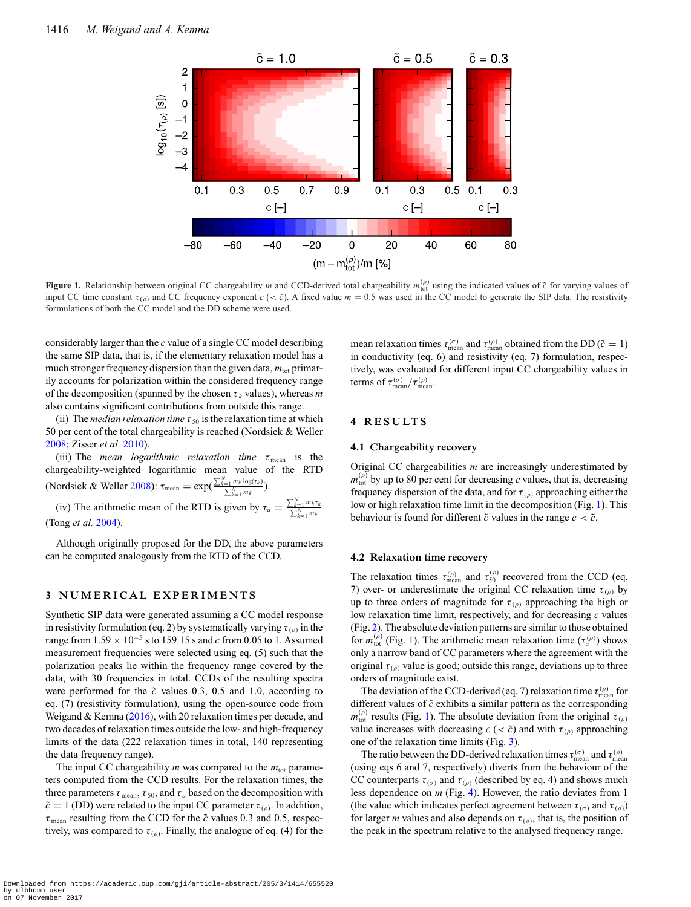<span id="page-2-0"></span>

**Figure 1.** Relationship between original CC chargeability *m* and CCD-derived total chargeability  $m_{\text{tot}}^{(\rho)}$  using the indicated values of  $\tilde{c}$  for varying values of input CC time constant  $\tau_{(\rho)}$  and CC frequency exponent  $c \ll c$ ). A fixed value  $m = 0.5$  was used in the CC model to generate the SIP data. The resistivity formulations of both the CC model and the DD scheme were used.

considerably larger than the *c* value of a single CC model describing the same SIP data, that is, if the elementary relaxation model has a much stronger frequency dispersion than the given data,  $m_{\text{tot}}$  primarily accounts for polarization within the considered frequency range of the decomposition (spanned by the chosen  $\tau_k$  values), whereas *m* also contains significant contributions from outside this range.

(ii) The *median relaxation time*  $\tau_{50}$  is the relaxation time at which 50 per cent of the total chargeability is reached (Nordsiek & Weller [2008;](#page-5-7) Zisser *et al.* [2010\)](#page-5-20).

(iii) The *mean logarithmic relaxation time* τ<sub>mean</sub> is the chargeability-weighted logarithmic mean value of the RTD (Nordsiek & Weller [2008\)](#page-5-7):  $\tau_{\text{mean}} = \exp(\frac{\sum_{k=1}^{N} m_k \log(\tau_k)}{\sum_{k=1}^{N} m_k})$ .

(iv) The arithmetic mean of the RTD is given by  $\tau_a = \frac{\sum_{k=1}^{N} m_k \tau_k}{\sum_{k=1}^{N} m_k}$ (Tong *et al.* [2004\)](#page-5-25).

Although originally proposed for the DD, the above parameters can be computed analogously from the RTD of the CCD.

### **3 NUMERICAL EXPERIMENTS**

Synthetic SIP data were generated assuming a CC model response in resistivity formulation (eq. 2) by systematically varying  $\tau_{(\rho)}$  in the range from  $1.59 \times 10^{-5}$  s to 159.15 s and *c* from 0.05 to 1. Assumed measurement frequencies were selected using eq. (5) such that the polarization peaks lie within the frequency range covered by the data, with 30 frequencies in total. CCDs of the resulting spectra were performed for the  $\tilde{c}$  values 0.3, 0.5 and 1.0, according to eq. (7) (resistivity formulation), using the open-source code from Weigand & Kemna [\(2016\)](#page-5-14), with 20 relaxation times per decade, and two decades of relaxation times outside the low- and high-frequency limits of the data (222 relaxation times in total, 140 representing the data frequency range).

The input CC chargeability  $m$  was compared to the  $m_{\text{tot}}$  parameters computed from the CCD results. For the relaxation times, the three parameters  $\tau$ <sub>mean</sub>,  $\tau$ <sub>50</sub>, and  $\tau$ <sub>a</sub> based on the decomposition with  $\tilde{c} = 1$  (DD) were related to the input CC parameter  $\tau_{(\rho)}$ . In addition,  $\tau$ <sub>mean</sub> resulting from the CCD for the  $\tilde{c}$  values 0.3 and 0.5, respectively, was compared to  $\tau_{(\rho)}$ . Finally, the analogue of eq. (4) for the mean relaxation times  $\tau_{\text{mean}}^{(\sigma)}$  and  $\tau_{\text{mean}}^{(\rho)}$  obtained from the DD ( $\tilde{c} = 1$ ) in conductivity (eq. 6) and resistivity (eq. 7) formulation, respectively, was evaluated for different input CC chargeability values in terms of  $\tau_{\text{mean}}^{(\sigma)}/\tau_{\text{mean}}^{(\rho)}$ .

#### **4 RESULTS**

# **4.1 Chargeability recovery**

Original CC chargeabilities *m* are increasingly underestimated by  $m_{\text{tot}}^{(\rho)}$  by up to 80 per cent for decreasing *c* values, that is, decreasing frequency dispersion of the data, and for  $\tau_{(0)}$  approaching either the low or high relaxation time limit in the decomposition (Fig. [1\)](#page-2-0). This behaviour is found for different  $\tilde{c}$  values in the range  $c < \tilde{c}$ .

#### **4.2 Relaxation time recovery**

The relaxation times  $\tau_{\text{mean}}^{(\rho)}$  and  $\tau_{50}^{(\rho)}$  recovered from the CCD (eq. 7) over- or underestimate the original CC relaxation time  $\tau_{(0)}$  by up to three orders of magnitude for  $\tau_{(\rho)}$  approaching the high or low relaxation time limit, respectively, and for decreasing *c* values (Fig. [2\)](#page-3-0). The absolute deviation patterns are similar to those obtained for  $m_{\text{tot}}^{(\rho)}$  (Fig. [1\)](#page-2-0). The arithmetic mean relaxation time  $(\tau_a^{(\rho)})$  shows only a narrow band of CC parameters where the agreement with the original  $\tau_{(\rho)}$  value is good; outside this range, deviations up to three orders of magnitude exist.

The deviation of the CCD-derived (eq. 7) relaxation time  $\tau_{\text{mean}}^{(\rho)}$  for different values of  $\tilde{c}$  exhibits a similar pattern as the corresponding  $m_{\text{tot}}^{(\rho)}$  results (Fig. [1\)](#page-2-0). The absolute deviation from the original  $\tau_{(\rho)}$ value increases with decreasing  $c \, (< \tilde{c}$ ) and with  $\tau_{(\rho)}$  approaching one of the relaxation time limits (Fig. [3\)](#page-3-1).

The ratio between the DD-derived relaxation times  $\tau_{\text{mean}}^{(\sigma)}$  and  $\tau_{\text{mean}}^{(\rho)}$ (using eqs 6 and 7, respectively) diverts from the behaviour of the CC counterparts  $\tau_{(\sigma)}$  and  $\tau_{(\rho)}$  (described by eq. 4) and shows much less dependence on *m* (Fig. [4\)](#page-4-0). However, the ratio deviates from 1 (the value which indicates perfect agreement between  $\tau_{(\sigma)}$  and  $\tau_{(\rho)}$ ) for larger *m* values and also depends on  $\tau_{(\rho)}$ , that is, the position of the peak in the spectrum relative to the analysed frequency range.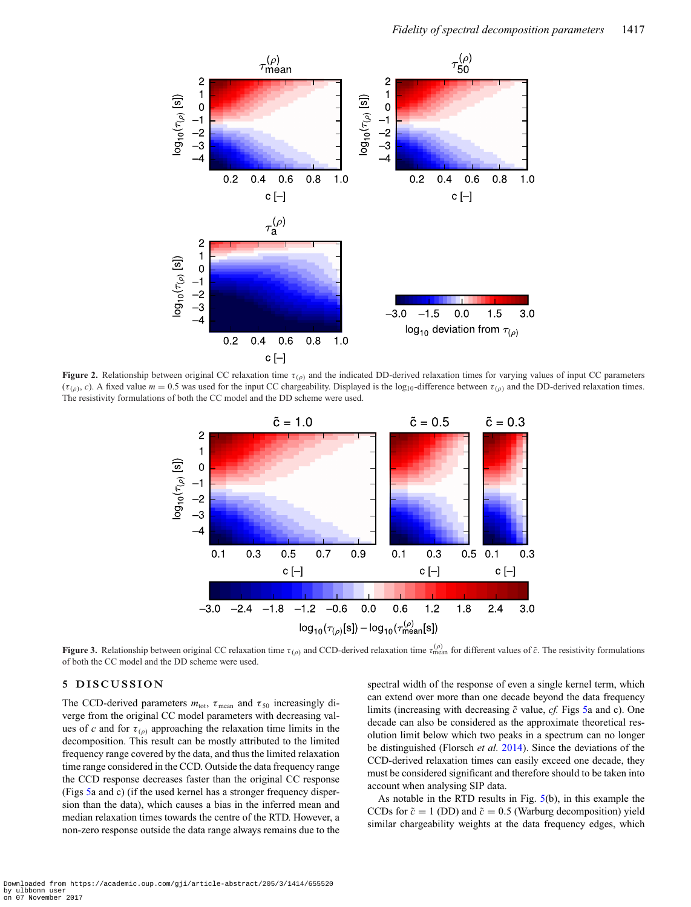<span id="page-3-0"></span>

<span id="page-3-1"></span>**Figure 2.** Relationship between original CC relaxation time  $\tau_{(\rho)}$  and the indicated DD-derived relaxation times for varying values of input CC parameters  $(\tau_{(\rho)}$ , *c*). A fixed value  $m = 0.5$  was used for the input CC chargeability. Displayed is the log<sub>10</sub>-difference between  $\tau_{(\rho)}$  and the DD-derived relaxation times. The resistivity formulations of both the CC model and the DD scheme were used.



**Figure 3.** Relationship between original CC relaxation time  $\tau_{(\rho)}$  and CCD-derived relaxation time  $\tau_{\text{mean}}^{(\rho)}$  for different values of  $\tilde{c}$ . The resistivity formulations of both the CC model and the DD scheme were used.

# **5 DISCUSSION**

The CCD-derived parameters  $m_{\text{tot}}$ ,  $\tau_{\text{mean}}$  and  $\tau_{50}$  increasingly diverge from the original CC model parameters with decreasing values of *c* and for  $\tau_{(\rho)}$  approaching the relaxation time limits in the decomposition. This result can be mostly attributed to the limited frequency range covered by the data, and thus the limited relaxation time range considered in the CCD. Outside the data frequency range the CCD response decreases faster than the original CC response (Figs [5a](#page-4-1) and c) (if the used kernel has a stronger frequency dispersion than the data), which causes a bias in the inferred mean and median relaxation times towards the centre of the RTD. However, a non-zero response outside the data range always remains due to the

spectral width of the response of even a single kernel term, which can extend over more than one decade beyond the data frequency limits (increasing with decreasing  $\tilde{c}$  value, *cf.* Figs [5a](#page-4-1) and c). One decade can also be considered as the approximate theoretical resolution limit below which two peaks in a spectrum can no longer be distinguished (Florsch *et al.* [2014\)](#page-5-8). Since the deviations of the CCD-derived relaxation times can easily exceed one decade, they must be considered significant and therefore should to be taken into account when analysing SIP data.

As notable in the RTD results in Fig. [5\(](#page-4-1)b), in this example the CCDs for  $\tilde{c} = 1$  (DD) and  $\tilde{c} = 0.5$  (Warburg decomposition) yield similar chargeability weights at the data frequency edges, which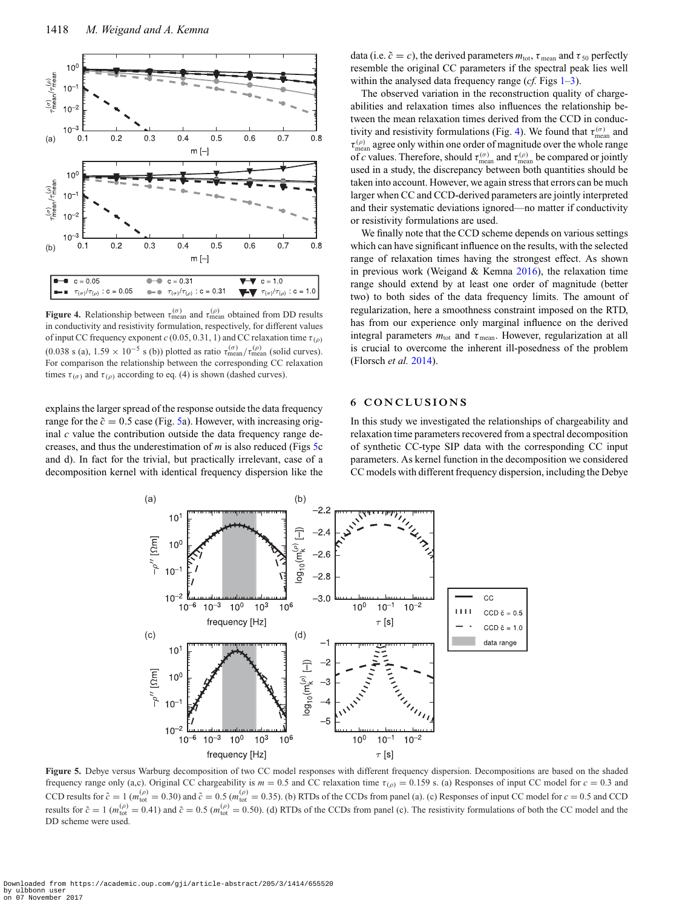<span id="page-4-0"></span>

**Figure 4.** Relationship between  $\tau_{\text{mean}}^{(\sigma)}$  and  $\tau_{\text{mean}}^{(\rho)}$  obtained from DD results in conductivity and resistivity formulation, respectively, for different values of input CC frequency exponent *c* (0.05, 0.31, 1) and CC relaxation time  $\tau_{(\rho)}$  $(0.038 \text{ s (a)}, 1.59 \times 10^{-5} \text{ s (b)})$  plotted as ratio  $\tau_{\text{mean}}^{(\sigma)} / \tau_{\text{mean}}^{(\rho)}$  (solid curves). For comparison the relationship between the corresponding CC relaxation times  $\tau_{(\sigma)}$  and  $\tau_{(\rho)}$  according to eq. (4) is shown (dashed curves).

explains the larger spread of the response outside the data frequency range for the  $\tilde{c} = 0.5$  case (Fig. [5a](#page-4-1)). However, with increasing original *c* value the contribution outside the data frequency range decreases, and thus the underestimation of *m* is also reduced (Figs [5c](#page-4-1) and d). In fact for the trivial, but practically irrelevant, case of a decomposition kernel with identical frequency dispersion like the data (i.e.  $\tilde{c} = c$ ), the derived parameters  $m_{\text{tot}}$ ,  $\tau_{\text{mean}}$  and  $\tau_{50}$  perfectly resemble the original CC parameters if the spectral peak lies well within the analysed data frequency range (*cf.* Figs [1–](#page-2-0)[3\)](#page-3-1).

The observed variation in the reconstruction quality of chargeabilities and relaxation times also influences the relationship between the mean relaxation times derived from the CCD in conduc-tivity and resistivity formulations (Fig. [4\)](#page-4-0). We found that  $\tau_{\text{mean}}^{(\sigma)}$  and  $\tau_{\text{mean}}^{(\rho)}$  agree only within one order of magnitude over the whole range of *c* values. Therefore, should  $\tau_{\text{mean}}^{(\sigma)}$  and  $\tau_{\text{mean}}^{(\rho)}$  be compared or jointly used in a study, the discrepancy between both quantities should be taken into account. However, we again stress that errors can be much larger when CC and CCD-derived parameters are jointly interpreted and their systematic deviations ignored—no matter if conductivity or resistivity formulations are used.

We finally note that the CCD scheme depends on various settings which can have significant influence on the results, with the selected range of relaxation times having the strongest effect. As shown in previous work (Weigand  $&$  Kemna [2016\)](#page-5-14), the relaxation time range should extend by at least one order of magnitude (better two) to both sides of the data frequency limits. The amount of regularization, here a smoothness constraint imposed on the RTD, has from our experience only marginal influence on the derived integral parameters  $m_{\text{tot}}$  and  $\tau_{\text{mean}}$ . However, regularization at all is crucial to overcome the inherent ill-posedness of the problem (Florsch *et al.* [2014\)](#page-5-8).

# **6 CONCLUSIONS**

In this study we investigated the relationships of chargeability and relaxation time parameters recovered from a spectral decomposition of synthetic CC-type SIP data with the corresponding CC input parameters. As kernel function in the decomposition we considered CC models with different frequency dispersion, including the Debye

<span id="page-4-1"></span>

**Figure 5.** Debye versus Warburg decomposition of two CC model responses with different frequency dispersion. Decompositions are based on the shaded frequency range only (a,c). Original CC chargeability is  $m = 0.5$  and CC relaxation time  $\tau_{(\rho)} = 0.159$  s. (a) Responses of input CC model for  $c = 0.3$  and CCD results for  $\tilde{c} = 1$  ( $m_{\text{tot}}^{(\rho)} = 0.30$ ) and  $\tilde{c} = 0.5$  ( $m_{\text{tot}}^{(\rho)} = 0.35$ ). (b) RTDs of the CCDs from panel (a). (c) Responses of input CC model for  $c = 0.5$  and CCD results for  $\tilde{c} = 1$  ( $m_{\text{tot}}^{(\rho)} = 0.41$ ) and  $\tilde{c} = 0.5$  ( $m_{\text{tot}}^{(\rho)} = 0.50$ ). (d) RTDs of the CCDs from panel (c). The resistivity formulations of both the CC model and the DD scheme were used.